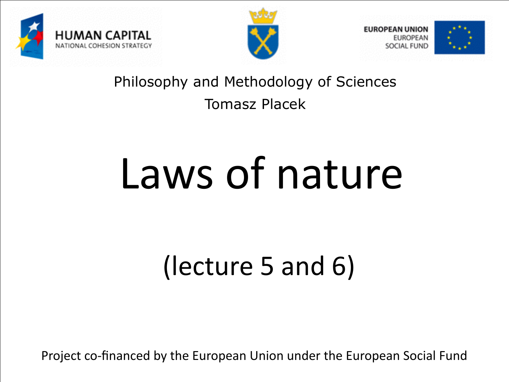





#### Philosophy and Methodology of Sciences Tomasz Placek

# Laws of nature

# (lecture 5 and 6)

Project co-financed by the European Union under the European Social Fund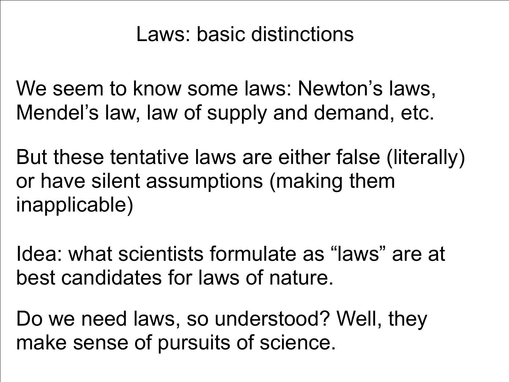### Laws: basic distinctions

We seem to know some laws: Newton's laws, Mendel's law, law of supply and demand, etc.

But these tentative laws are either false (literally) or have silent assumptions (making them inapplicable)

Idea: what scientists formulate as "laws" are at best candidates for laws of nature.

Do we need laws, so understood? Well, they make sense of pursuits of science.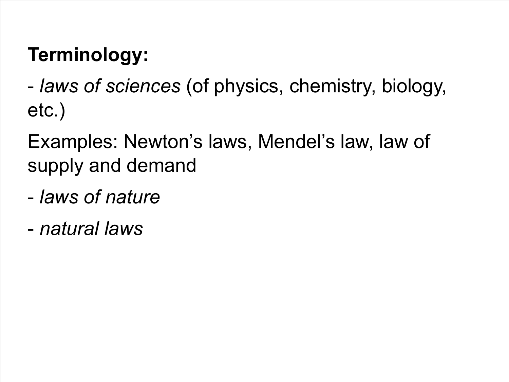## **Terminology:**

- *laws of sciences* (of physics, chemistry, biology, etc.)

Examples: Newton's laws, Mendel's law, law of supply and demand

- *laws of nature*
- *natural laws*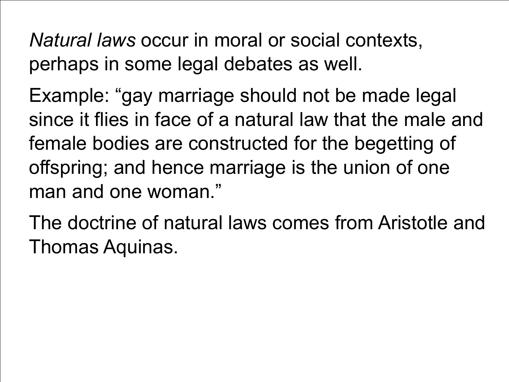*Natural laws* occur in moral or social contexts, perhaps in some legal debates as well.

Example: "gay marriage should not be made legal since it flies in face of a natural law that the male and female bodies are constructed for the begetting of offspring; and hence marriage is the union of one man and one woman."

The doctrine of natural laws comes from Aristotle and Thomas Aquinas.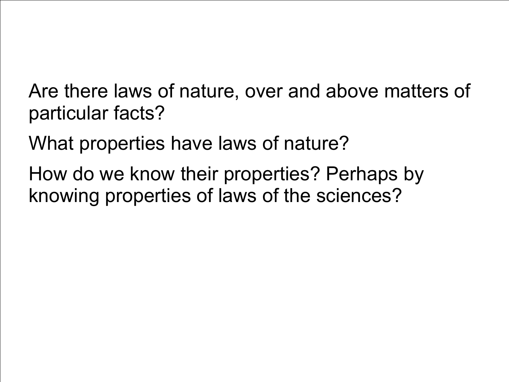Are there laws of nature, over and above matters of particular facts?

What properties have laws of nature?

How do we know their properties? Perhaps by knowing properties of laws of the sciences?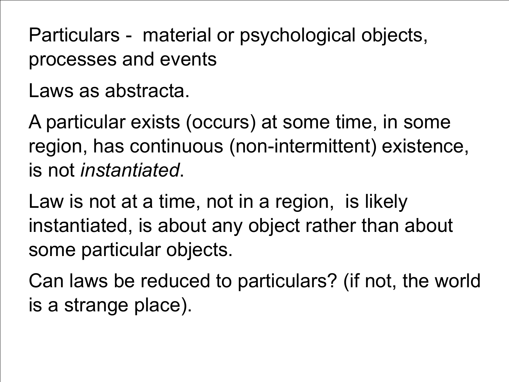Particulars - material or psychological objects, processes and events

Laws as abstracta.

A particular exists (occurs) at some time, in some region, has continuous (non-intermittent) existence, is not *instantiated*.

Law is not at a time, not in a region, is likely instantiated, is about any object rather than about some particular objects.

Can laws be reduced to particulars? (if not, the world is a strange place).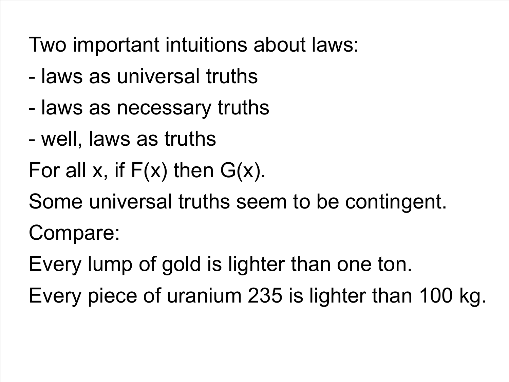Two important intuitions about laws:

- laws as universal truths
- laws as necessary truths
- well, laws as truths

For all x, if  $F(x)$  then  $G(x)$ .

Some universal truths seem to be contingent.

Compare:

Every lump of gold is lighter than one ton.

Every piece of uranium 235 is lighter than 100 kg.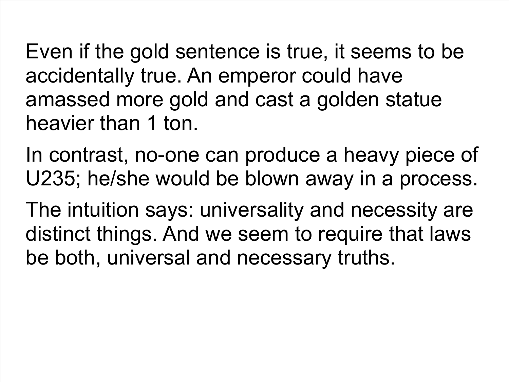Even if the gold sentence is true, it seems to be accidentally true. An emperor could have amassed more gold and cast a golden statue heavier than 1 ton.

In contrast, no-one can produce a heavy piece of U235; he/she would be blown away in a process.

The intuition says: universality and necessity are distinct things. And we seem to require that laws be both, universal and necessary truths.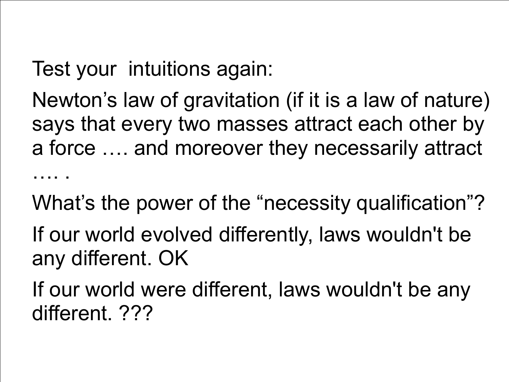Test your intuitions again:

Newton's law of gravitation (if it is a law of nature) says that every two masses attract each other by a force …. and moreover they necessarily attract ….

What's the power of the "necessity qualification"?

If our world evolved differently, laws wouldn't be any different. OK

If our world were different, laws wouldn't be any different. ???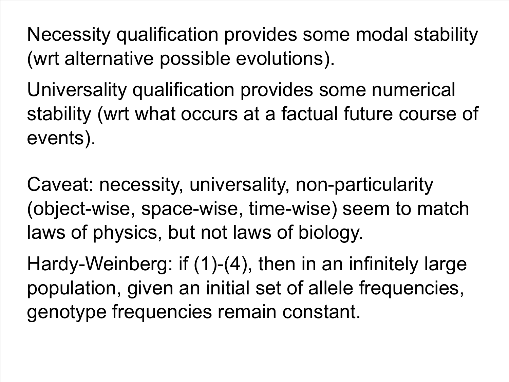Necessity qualification provides some modal stability (wrt alternative possible evolutions).

Universality qualification provides some numerical stability (wrt what occurs at a factual future course of events).

Caveat: necessity, universality, non-particularity (object-wise, space-wise, time-wise) seem to match laws of physics, but not laws of biology.

Hardy-Weinberg: if (1)-(4), then in an infinitely large population, given an initial set of allele frequencies, genotype frequencies remain constant.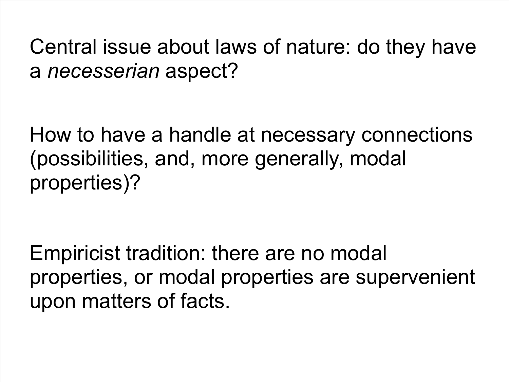Central issue about laws of nature: do they have a *necesserian* aspect?

How to have a handle at necessary connections (possibilities, and, more generally, modal properties)?

Empiricist tradition: there are no modal properties, or modal properties are supervenient upon matters of facts.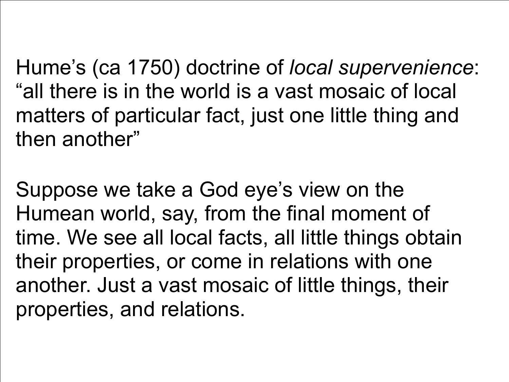Hume's (ca 1750) doctrine of *local supervenience*: "all there is in the world is a vast mosaic of local matters of particular fact, just one little thing and then another"

Suppose we take a God eye's view on the Humean world, say, from the final moment of time. We see all local facts, all little things obtain their properties, or come in relations with one another. Just a vast mosaic of little things, their properties, and relations.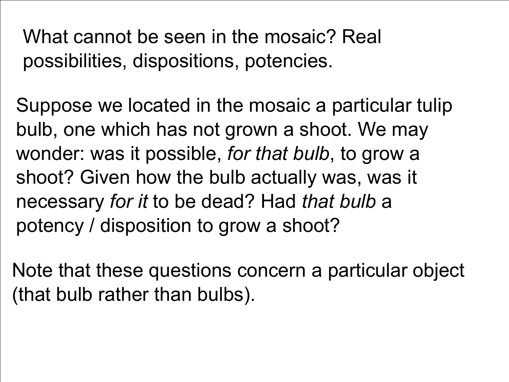What cannot be seen in the mosaic? Real possibilities, dispositions, potencies.

Suppose we located in the mosaic a particular tulip bulb, one which has not grown a shoot. We may wonder: was it possible, *for that bulb*, to grow a shoot? Given how the bulb actually was, was it necessary *for it* to be dead? Had *that bulb* a potency / disposition to grow a shoot?

Note that these questions concern a particular object (that bulb rather than bulbs).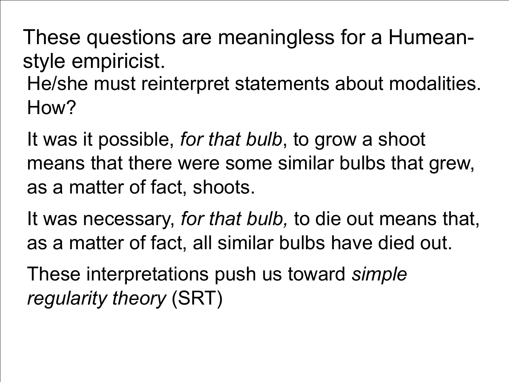These questions are meaningless for a Humeanstyle empiricist.

He/she must reinterpret statements about modalities. How?

It was it possible, *for that bulb*, to grow a shoot means that there were some similar bulbs that grew, as a matter of fact, shoots.

It was necessary, *for that bulb,* to die out means that, as a matter of fact, all similar bulbs have died out.

These interpretations push us toward *simple regularity theory* (SRT)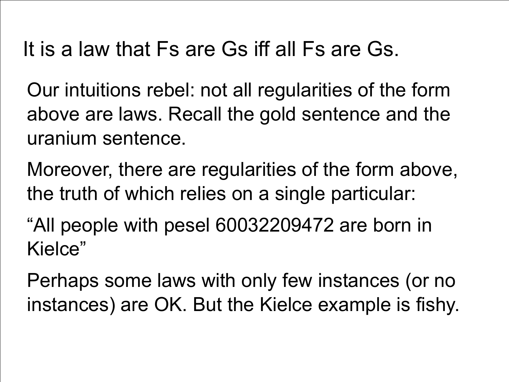It is a law that Fs are Gs iff all Fs are Gs.

Our intuitions rebel: not all regularities of the form above are laws. Recall the gold sentence and the uranium sentence.

Moreover, there are regularities of the form above, the truth of which relies on a single particular:

"All people with pesel 60032209472 are born in Kielce"

Perhaps some laws with only few instances (or no instances) are OK. But the Kielce example is fishy.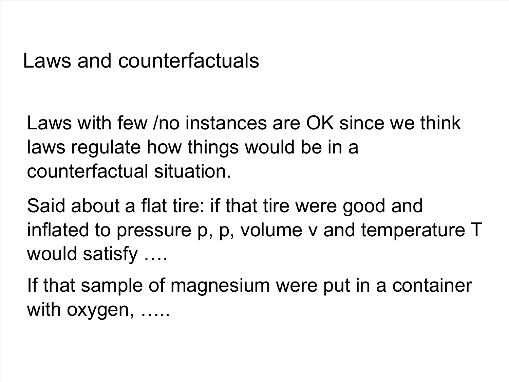#### Laws and counterfactuals

Laws with few /no instances are OK since we think laws regulate how things would be in a counterfactual situation.

Said about a flat tire: if that tire were good and inflated to pressure p, p, volume v and temperature T would satisfy ….

If that sample of magnesium were put in a container with oxygen, ……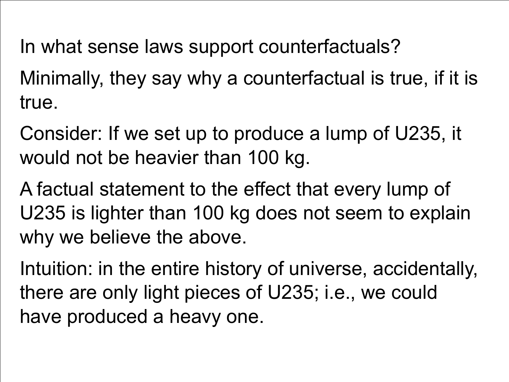In what sense laws support counterfactuals?

Minimally, they say why a counterfactual is true, if it is true.

Consider: If we set up to produce a lump of U235, it would not be heavier than 100 kg.

A factual statement to the effect that every lump of U235 is lighter than 100 kg does not seem to explain why we believe the above.

Intuition: in the entire history of universe, accidentally, there are only light pieces of U235; i.e., we could have produced a heavy one.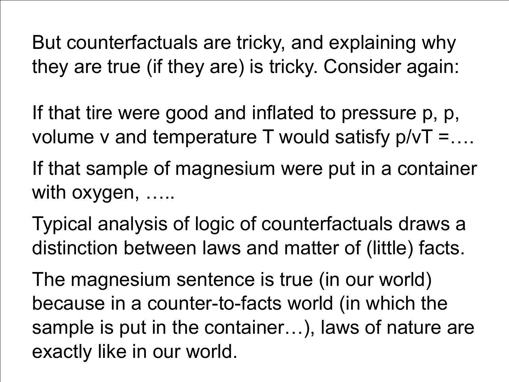But counterfactuals are tricky, and explaining why they are true (if they are) is tricky. Consider again:

If that tire were good and inflated to pressure p, p, volume  $v$  and temperature T would satisfy  $p/vT = ...$ If that sample of magnesium were put in a container with oxygen, ……

Typical analysis of logic of counterfactuals draws a distinction between laws and matter of (little) facts.

The magnesium sentence is true (in our world) because in a counter-to-facts world (in which the sample is put in the container…), laws of nature are exactly like in our world.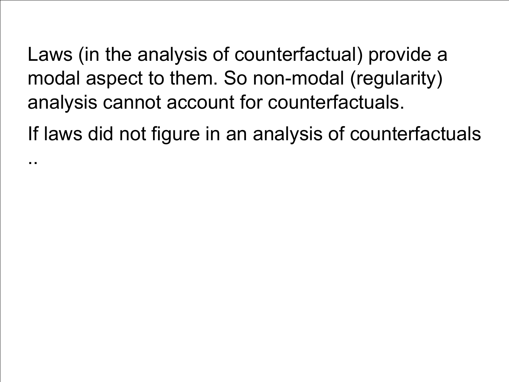Laws (in the analysis of counterfactual) provide a modal aspect to them. So non-modal (regularity) analysis cannot account for counterfactuals.

..

If laws did not figure in an analysis of counterfactuals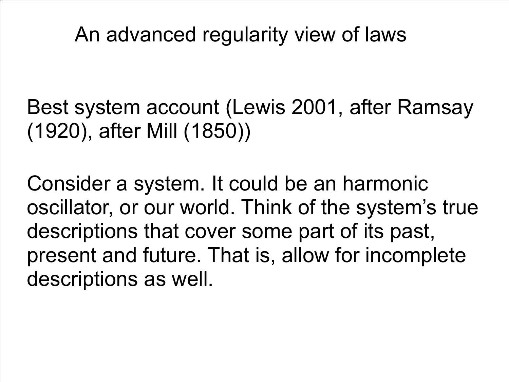An advanced regularity view of laws

Best system account (Lewis 2001, after Ramsay (1920), after Mill (1850))

Consider a system. It could be an harmonic oscillator, or our world. Think of the system's true descriptions that cover some part of its past, present and future. That is, allow for incomplete descriptions as well.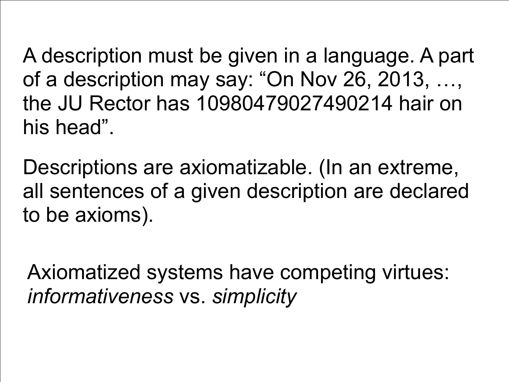A description must be given in a language. A part of a description may say: "On Nov 26, 2013, …, the JU Rector has 10980479027490214 hair on his head".

Descriptions are axiomatizable. (In an extreme, all sentences of a given description are declared to be axioms).

Axiomatized systems have competing virtues: *informativeness* vs. *simplicity*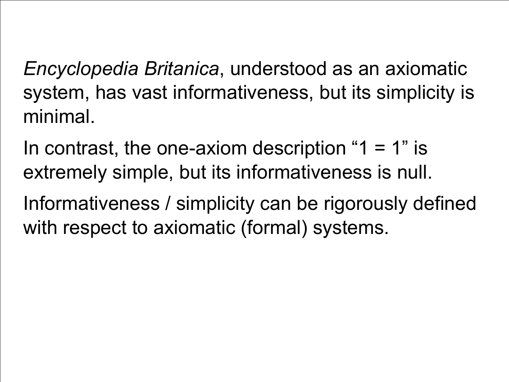*Encyclopedia Britanica*, understood as an axiomatic system, has vast informativeness, but its simplicity is minimal.

In contrast, the one-axiom description " $1 = 1$ " is extremely simple, but its informativeness is null.

Informativeness / simplicity can be rigorously defined with respect to axiomatic (formal) systems.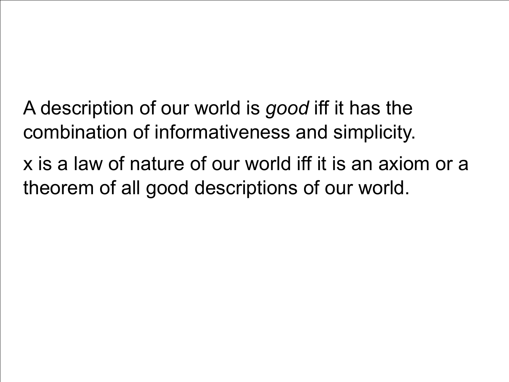A description of our world is *good* iff it has the combination of informativeness and simplicity.

x is a law of nature of our world iff it is an axiom or a theorem of all good descriptions of our world.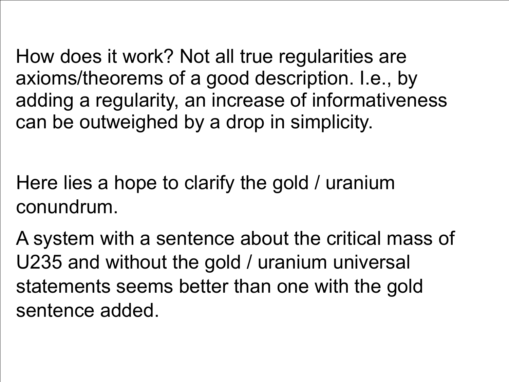How does it work? Not all true regularities are axioms/theorems of a good description. I.e., by adding a regularity, an increase of informativeness can be outweighed by a drop in simplicity.

Here lies a hope to clarify the gold / uranium conundrum.

A system with a sentence about the critical mass of U235 and without the gold / uranium universal statements seems better than one with the gold sentence added.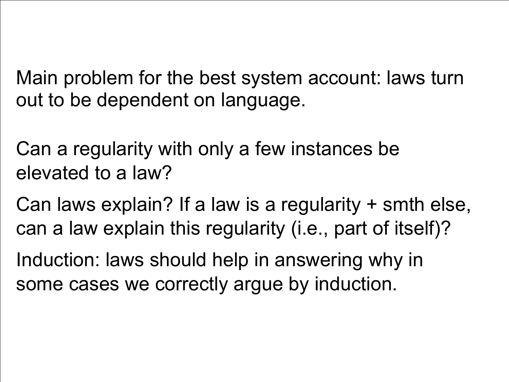Main problem for the best system account: laws turn out to be dependent on language.

Can a regularity with only a few instances be elevated to a law?

Can laws explain? If a law is a regularity + smth else, can a law explain this regularity (i.e., part of itself)?

Induction: laws should help in answering why in some cases we correctly argue by induction.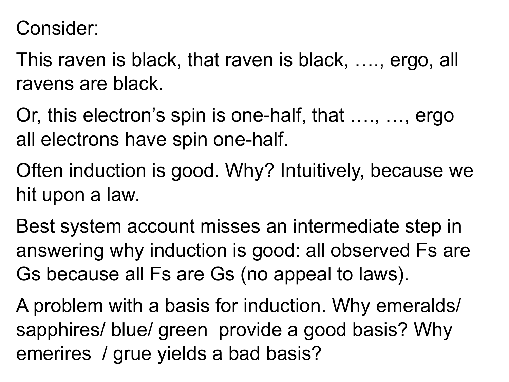Consider:

This raven is black, that raven is black, …., ergo, all ravens are black.

Or, this electron's spin is one-half, that …., …, ergo all electrons have spin one-half.

Often induction is good. Why? Intuitively, because we hit upon a law.

Best system account misses an intermediate step in answering why induction is good: all observed Fs are Gs because all Fs are Gs (no appeal to laws).

A problem with a basis for induction. Why emeralds/ sapphires/ blue/ green provide a good basis? Why emerires / grue yields a bad basis?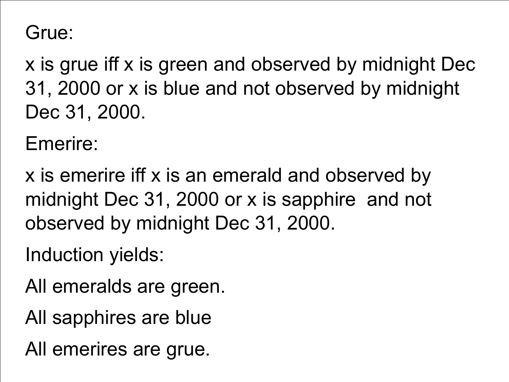Grue:

x is grue iff x is green and observed by midnight Dec 31, 2000 or x is blue and not observed by midnight Dec 31, 2000.

Emerire:

x is emerire iff x is an emerald and observed by midnight Dec 31, 2000 or x is sapphire and not observed by midnight Dec 31, 2000.

Induction yields:

All emeralds are green.

All sapphires are blue

All emerires are grue.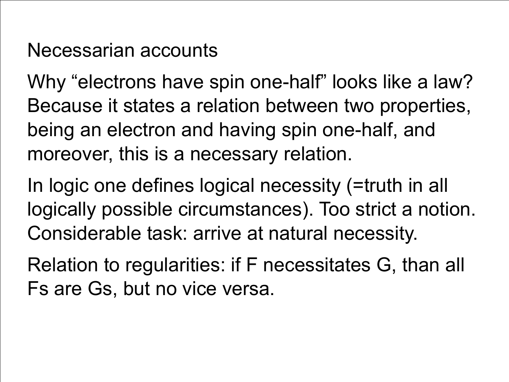#### Necessarian accounts

Why "electrons have spin one-half" looks like a law? Because it states a relation between two properties, being an electron and having spin one-half, and moreover, this is a necessary relation.

In logic one defines logical necessity (=truth in all logically possible circumstances). Too strict a notion. Considerable task: arrive at natural necessity.

Relation to regularities: if F necessitates G, than all Fs are Gs, but no vice versa.